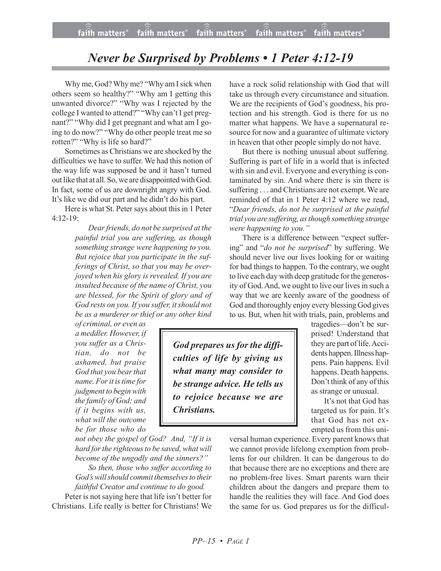## *Never be Surprised by Problems • 1 Peter 4:12-19*

Why me, God? Why me? "Why am I sick when others seem so healthy?" "Why am I getting this unwanted divorce?" "Why was I rejected by the college I wanted to attend?" "Why can't I get pregnant?" "Why did I get pregnant and what am I going to do now?" "Why do other people treat me so rotten?" "Why is life so hard?"

Sometimes as Christians we are shocked by the difficulties we have to suffer. We had this notion of the way life was supposed be and it hasn't turned out like that at all. So, we are disappointed with God. In fact, some of us are downright angry with God. It's like we did our part and he didn't do his part.

Here is what St. Peter says about this in 1 Peter 4:12-19:

> *Dearfriends, do not be surprised at the painful trial you are suffering, as though something strange were happening to you. But rejoice that you participate in the sufferings of Christ, so that you may be overjoyed when his glory is revealed. If you are insulted because of the name of Christ, you are blessed, for the Spirit of glory and of God rests on you. If you suffer, itshould not be as a murderer or thief or any other kind*

*of criminal, or even as a meddler. However, if you suffer as a Christian, do not be ashamed, but praise God that you bearthat name. Forit istime for judgment to beginwith the family of God; and if it begins with us, what will the outcome be for those who do*

*not obey the gospel of God? And, "If it is hard forthe righteousto be saved, what will become of the ungodly and the sinners?"*

*So then, those who suffer according to God's willshould commit themselvesto their faithful Creator and continue to do good.* Peter is not saying here that life isn't better for Christians. Life really is better for Christians! We have a rock solid relationship with God that will take us through every circumstance and situation. We are the recipients of God's goodness, his protection and his strength. God is there for us no matter what happens. We have a supernatural resource for now and a guarantee of ultimate victory in heaven that other people simply do not have.

But there is nothing unusual about suffering. Suffering is part of life in a world that is infected with sin and evil. Everyone and everything is contaminated by sin. And where there is sin there is suffering . . . and Christians are not exempt. We are reminded of that in 1 Peter 4:12 where we read, "*Dear friends, do not be surprised at the painful trial you are suffering, asthough something strange were happening to you."*

There is a difference between "expect suffering" and "*do not be surprised*" by suffering. We should never live our lives looking for or waiting for bad things to happen. To the contrary, we ought to live each day with deep gratitude for the generosity of God. And, we ought to live our lives in such a way that we are keenly aware of the goodness of God and thoroughly enjoy every blessing God gives to us. But, when hit with trials, pain, problems and

*God prepares us for the difficulties of life by giving us what many may consider to be strange advice. He tells us to rejoice because we are Christians.*

tragedies—don't be surprised! Understand that they are part of life. Accidents happen. Illness happens. Pain happens. Evil happens. Death happens. Don't think of any of this as strange or unusual.

It's not that God has targeted us for pain. It's that God has not exempted us from this uni-

versal human experience. Every parent knows that we cannot provide lifelong exemption from problems for our children. It can be dangerous to do that because there are no exceptions and there are no problem-free lives. Smart parents warn their children about the dangers and prepare them to handle the realities they will face. And God does the same for us. God prepares us for the difficul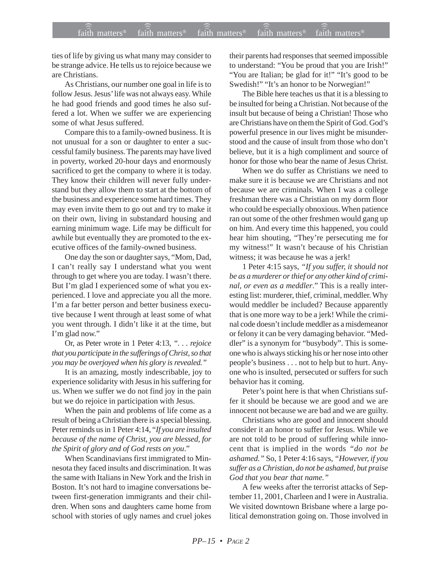ties of life by giving us what many may consider to be strange advice. He tells us to rejoice because we are Christians.

As Christians, our number one goal in life is to follow Jesus. Jesus' life was not always easy. While he had good friends and good times he also suffered a lot. When we suffer we are experiencing some of what Jesus suffered.

Compare this to a family-owned business. It is not unusual for a son or daughter to enter a successful family business. The parents may have lived in poverty, worked 20-hour days and enormously sacrificed to get the company to where it is today. They know their children will never fully understand but they allow them to start at the bottom of the business and experience some hard times. They may even invite them to go out and try to make it on their own, living in substandard housing and earning minimum wage. Life may be difficult for awhile but eventually they are promoted to the executive offices of the family-owned business.

One day the son or daughter says, "Mom, Dad, I can't really say I understand what you went through to get where you are today. I wasn't there. But I'm glad I experienced some of what you experienced. I love and appreciate you all the more. I'm a far better person and better business executive because I went through at least some of what you went through. I didn't like it at the time, but I'm glad now."

Or, as Peter wrote in 1 Peter 4:13, *". . . rejoice that you participate in the sufferings of Christ, so that you may be overjoyed when his glory is revealed."*

It is an amazing, mostly indescribable, joy to experience solidarity with Jesus in his suffering for us. When we suffer we do not find joy in the pain but we do rejoice in participation with Jesus.

When the pain and problems of life come as a result of being a Christian there is a special blessing. Peter reminds us in 1 Peter 4:14, "*If you are insulted because of the name of Christ, you are blessed, for the Spirit of glory and of God rests on you*."

When Scandinavians first immigrated to Minnesota they faced insults and discrimination. It was the same with Italians in New York and the Irish in Boston. It's not hard to imagine conversations between first-generation immigrants and their children. When sons and daughters came home from school with stories of ugly names and cruel jokes their parents had responses that seemed impossible to understand: "You be proud that you are Irish!" "You are Italian; be glad for it!" "It's good to be Swedish!" "It's an honor to be Norwegian!"

The Bible here teaches us that it is a blessing to be insulted for being a Christian. Not because of the insult but because of being a Christian! Those who are Christians have on them the Spirit of God. God's powerful presence in our lives might be misunderstood and the cause of insult from those who don't believe, but it is a high compliment and source of honor for those who bear the name of Jesus Christ.

When we do suffer as Christians we need to make sure it is because we are Christians and not because we are criminals. When I was a college freshman there was a Christian on my dorm floor who could be especially obnoxious. When patience ran out some of the other freshmen would gang up on him. And every time this happened, you could hear him shouting, "They're persecuting me for my witness!" It wasn't because of his Christian witness; it was because he was a jerk!

1 Peter 4:15 says, *"If you suffer, it should not be as a murderer or thief or any other kind of criminal, or even as a meddler*." This is a really interesting list: murderer, thief, criminal, meddler. Why would meddler be included? Because apparently that is one more way to be a jerk! While the criminal code doesn't include meddler as a misdemeanor or felony it can be very damaging behavior. "Meddler" is a synonym for "busybody". This is someone who is always sticking his or her nose into other people's business . . . not to help but to hurt. Anyone who is insulted, persecuted or suffers for such behavior has it coming.

Peter's point here is that when Christians suffer it should be because we are good and we are innocent not because we are bad and we are guilty.

Christians who are good and innocent should consider it an honor to suffer for Jesus. While we are not told to be proud of suffering while innocent that is implied in the words *"do not be ashamed."* So, 1 Peter 4:16 says, *"However, if you suffer as a Christian, do not be ashamed, but praise God that you bear that name."*

A few weeks after the terrorist attacks of September 11, 2001, Charleen and I were in Australia. We visited downtown Brisbane where a large political demonstration going on. Those involved in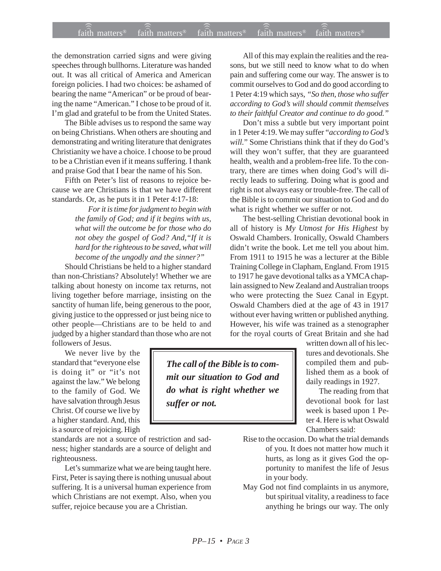the demonstration carried signs and were giving speeches through bullhorns. Literature was handed out. It was all critical of America and American foreign policies. I had two choices: be ashamed of bearing the name "American" or be proud of bearing the name "American." I chose to be proud of it. I'm glad and grateful to be from the United States.

The Bible advises us to respond the same way on being Christians. When others are shouting and demonstrating and writing literature that denigrates Christianity we have a choice. I choose to be proud to be a Christian even if it means suffering. I thank and praise God that I bear the name of his Son.

Fifth on Peter's list of reasons to rejoice because we are Christians is that we have different standards. Or, as he puts it in 1 Peter 4:17-18:

> *For it is time for judgment to begin with the family of God; and if it begins with us, what will the outcome be for those who do not obey the gospel of God? And,"If it is hard for the righteous to be saved, what will become of the ungodly and the sinner?"*

Should Christians be held to a higher standard than non-Christians? Absolutely! Whether we are talking about honesty on income tax returns, not living together before marriage, insisting on the sanctity of human life, being generous to the poor, giving justice to the oppressed or just being nice to other people—Christians are to be held to and judged by a higher standard than those who are not followers of Jesus.

We never live by the standard that "everyone else is doing it" or "it's not against the law." We belong to the family of God. We have salvation through Jesus Christ. Of course we live by a higher standard. And, this is a source of rejoicing. High

standards are not a source of restriction and sadness; higher standards are a source of delight and righteousness.

Let's summarize what we are being taught here. First, Peter is saying there is nothing unusual about suffering. It is a universal human experience from which Christians are not exempt. Also, when you suffer, rejoice because you are a Christian.

All of this may explain the realities and the reasons, but we still need to know what to do when pain and suffering come our way. The answer is to commit ourselves to God and do good according to 1 Peter 4:19 which says, *"So then, those who suffer according to God's will should commit themselves to their faithful Creator and continue to do good."*

Don't miss a subtle but very important point in 1 Peter 4:19. We may suffer "*according to God's will.*" Some Christians think that if they do God's will they won't suffer, that they are guaranteed health, wealth and a problem-free life. To the contrary, there are times when doing God's will directly leads to suffering. Doing what is good and right is not always easy or trouble-free. The call of the Bible is to commit our situation to God and do what is right whether we suffer or not.

The best-selling Christian devotional book in all of history is *My Utmost for His Highest* by Oswald Chambers. Ironically, Oswald Chambers didn't write the book. Let me tell you about him. From 1911 to 1915 he was a lecturer at the Bible Training College in Clapham, England. From 1915 to 1917 he gave devotional talks as a YMCA chaplain assigned to New Zealand and Australian troops who were protecting the Suez Canal in Egypt. Oswald Chambers died at the age of 43 in 1917 without ever having written or published anything. However, his wife was trained as a stenographer for the royal courts of Great Britain and she had

written down all of his lectures and devotionals. She compiled them and published them as a book of daily readings in 1927.

The reading from that devotional book for last week is based upon 1 Peter 4. Here is what Oswald Chambers said:

- Rise to the occasion. Do what the trial demands of you. It does not matter how much it hurts, as long as it gives God the opportunity to manifest the life of Jesus in your body.
- May God not find complaints in us anymore, but spiritual vitality, a readiness to face anything he brings our way. The only

*The call of the Bible is to commit our situation to God and do what is right whether we suffer or not.*